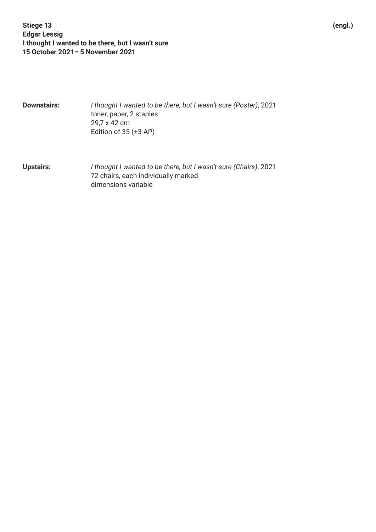**Downstairs:** *I thought I wanted to be there, but I wasn't sure (Poster)*, 2021 toner, paper, 2 staples 29,7 x 42 cm Edition of 35 (+3 AP)

**Upstairs:** *I thought I wanted to be there, but I wasn't sure (Chairs)*, 2021 72 chairs, each individually marked dimensions variable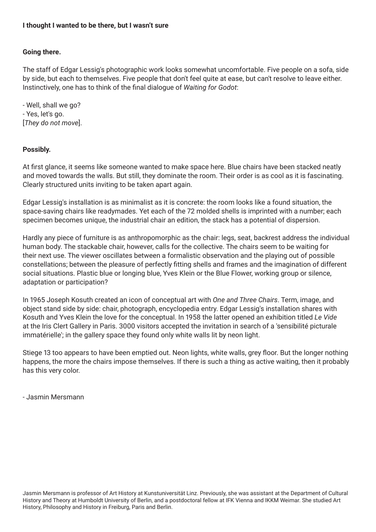## **Going there.**

The staff of Edgar Lessig's photographic work looks somewhat uncomfortable. Five people on a sofa, side by side, but each to themselves. Five people that don't feel quite at ease, but can't resolve to leave either. Instinctively, one has to think of the final dialogue of *Waiting for Godot*:

- Well, shall we go? - Yes, let's go. [*They do not move*].

## **Possibly.**

At first glance, it seems like someone wanted to make space here. Blue chairs have been stacked neatly and moved towards the walls. But still, they dominate the room. Their order is as cool as it is fascinating. Clearly structured units inviting to be taken apart again.

Edgar Lessig's installation is as minimalist as it is concrete: the room looks like a found situation, the space-saving chairs like readymades. Yet each of the 72 molded shells is imprinted with a number; each specimen becomes unique, the industrial chair an edition, the stack has a potential of dispersion.

Hardly any piece of furniture is as anthropomorphic as the chair: legs, seat, backrest address the individual human body. The stackable chair, however, calls for the collective. The chairs seem to be waiting for their next use. The viewer oscillates between a formalistic observation and the playing out of possible constellations; between the pleasure of perfectly fitting shells and frames and the imagination of different social situations. Plastic blue or longing blue, Yves Klein or the Blue Flower, working group or silence, adaptation or participation?

In 1965 Joseph Kosuth created an icon of conceptual art with *One and Three Chairs*. Term, image, and object stand side by side: chair, photograph, encyclopedia entry. Edgar Lessig's installation shares with Kosuth and Yves Klein the love for the conceptual. In 1958 the latter opened an exhibition titled *Le Vide* at the Iris Clert Gallery in Paris. 3000 visitors accepted the invitation in search of a 'sensibilité picturale immatérielle'; in the gallery space they found only white walls lit by neon light.

Stiege 13 too appears to have been emptied out. Neon lights, white walls, grey floor. But the longer nothing happens, the more the chairs impose themselves. If there is such a thing as active waiting, then it probably has this very color.

- Jasmin Mersmann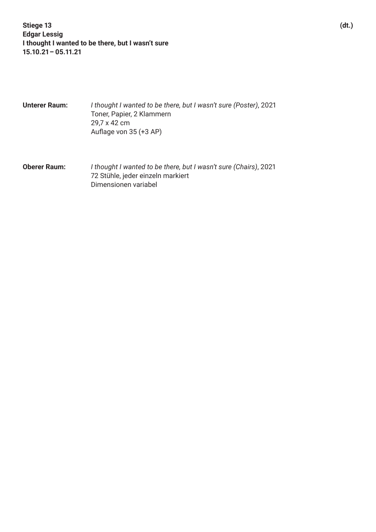**Stiege 13 (dt.) Edgar Lessig I thought I wanted to be there, but I wasn't sure 15.10.21– 05.11.21**

**Unterer Raum:** *I thought I wanted to be there, but I wasn't sure (Poster)*, 2021 Toner, Papier, 2 Klammern 29,7 x 42 cm Auflage von 35 (+3 AP)

**Oberer Raum:** *I thought I wanted to be there, but I wasn't sure (Chairs)*, 2021 72 Stühle, jeder einzeln markiert Dimensionen variabel